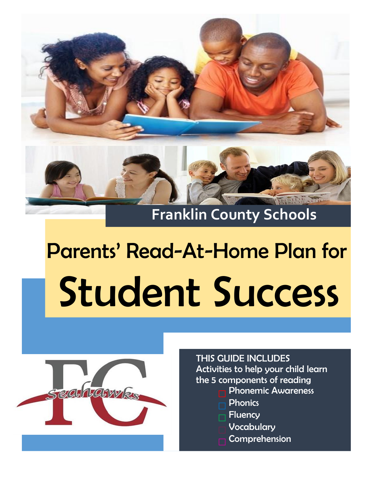

# Parents' Read-At-Home Plan for Student Success



## THIS GUIDE INCLUDES Activities to help your child learn the 5 components of reading

- **Phonemic Awareness**
- **Phonics**
- **Fluency**
- **Vocabulary**
- **Comprehension**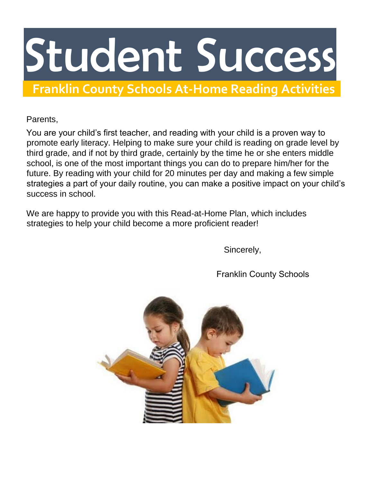## Parents' Read-At-Home Plan for Student Success

**Franklin County Schools At-Home Reading Activities**

## Parents,

You are your child's first teacher, and reading with your child is a proven way to promote early literacy. Helping to make sure your child is reading on grade level by third grade, and if not by third grade, certainly by the time he or she enters middle school, is one of the most important things you can do to prepare him/her for the future. By reading with your child for 20 minutes per day and making a few simple strategies a part of your daily routine, you can make a positive impact on your child's success in school.

We are happy to provide you with this Read-at-Home Plan, which includes strategies to help your child become a more proficient reader!

Sincerely,

Franklin County Schools

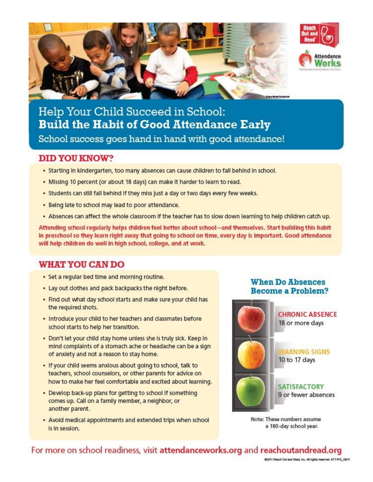



Help Your Child Succeed in School: **Build the Habit of Good Attendance Early** School success goes hand in hand with good attendance!

#### **DID YOU KNOW?**

- . Starting in kindergarten, too many absences can cause children to fall behind in school.
- . Missing 10 percent (or about 18 days) can make it harder to learn to read.
- . Students can still fall behind if they miss just a day or two days every few weeks.
- . Being late to school may lead to poor attendance.
- . Absences can affect the whole classroom if the teacher has to slow down learning to help children catch up.

Attending school regularly helps children feel better about school-and themselves. Start building this habit in preschool so they learn right away that going to school on time, every day is important. Good attendance will help children do well in high school, college, and at work.

## **WHAT YOU CAN DO**

- Set a regular bed time and morning routine.
- . Lay out clothes and pack backpacks the night before.
- . Find out what day school starts and make sure your child has the required shots.
- . Introduce your child to her teachers and classmates before school starts to help her transition.
- . Don't let your child stay home unless she is truly sick. Keep in mind complaints of a stomach ache or headache can be a sign of anxiety and not a reason to stay home.
- . If your child seems anxious about going to school, talk to teachers, school counselors, or other parents for advice on how to make her feel comfortable and excited about learning.
- Develop back-up plans for getting to school if something comes up. Call on a family member, a neighbor, or another parent.
- Avoid medical appointments and extended trips when school is in session.

#### **When Do Absences Become a Problem?**



Note: These numbers assume a 180-day school year.

## For more on school readiness, visit attendanceworks.org and reachoutandread.org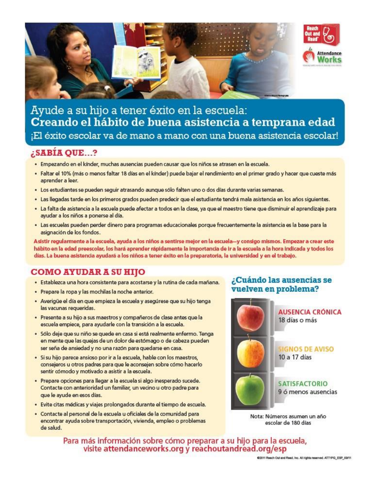

## Ayude a su hijo a tener éxito en la escuela: Creando el hábito de buena asistencia a temprana edad ¡El éxito escolar va de mano a mano con una buena asistencia escolar!

## ¿SABÍA QUE...?

- · Empezando en el kínder, muchas ausencias pueden causar que los niños se atrasen en la escuela.
- · Faltar el 10% (más o menos faltar 18 días en el kínder) puede bajar el rendimiento en el primer grado y hacer que cueste más aprender a leer.
- · Los estudiantes se pueden seguir atrasando aunque sólo falten uno o dos días durante varias semanas.
- · Las llegadas tarde en los primeros grados pueden predecir que el estudiante tendrá mala asistencia en los años siguientes.
- · La falta de asistencia a la escuela puede afectar a todos en la clase, ya que el maestro tiene que disminuir el aprendizaje para ayudar a los niños a ponerse al día.
- · Las escuelas pueden perder dinero para programas educacionales porque frecuentemente la asistencia es la base para la asignación de los fondos.

Asistir regularmente a la escuela, ayuda a los niños a sentirse mejor en la escuela-y consigo mismos. Empezar a crear este hábito en la edad preescolar, los hará aprender rápidamente la importancia de ir a la escuela a la hora indicada y todos los días. La buena asistencia ayudará a los niños a tener éxito en la preparatoria, la universidad y en el trabajo.

## COMO AYUDAR A SU HIJO

- · Establezca una hora consistente para acostarse y la rutina de cada mañana.
- · Prepare la ropa y las mochilas la noche anterior.
- · Averigüe el día en que empieza la escuela y asegúrese que su hijo tenga las vacunas requeridas.
- · Presente a su hijo a sus maestros y compañeros de clase antes que la escuela empiece, para ayudarle con la transición a la escuela.
- · Sólo deje que su niño se quede en casa si está realmente enfermo. Tenga en mente que las quejas de un dolor de estómago o de cabeza pueden ser seña de ansiedad y no una razón para quedarse en casa.
- · Si su hijo parece ansioso por ir a la escuela, hable con los maestros, consejeros u otros padres para que le aconsejen sobre cómo hacerlo sentir cómodo y motivado a asistir a la escuela.
- · Prepare opciones para llegar a la escuela si algo inesperado sucede. Contacte con anterioridad un familiar, un vecino u otro padre para que le ayude en esos días.
- · Evite citas médicas y viajes prolongados durante el tiempo de escuela.
- · Contacte al personal de la escuela u oficiales de la comunidad para encontrar ayuda sobre transportación, vivienda, empleo o problemas de salud.

#### ¿Cuándo las ausencias se vuelven en problema?



Nota: Números asumen un año escolar de 180 días

Para más información sobre cómo preparar a su hijo para la escuela,<br>visite attendanceworks.org y reachoutandread.org/esp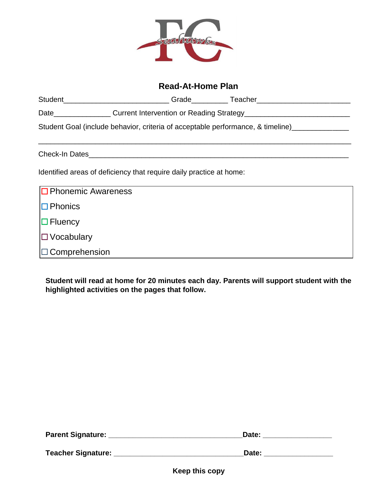

## **Read-At-Home Plan**

| <b>Studer</b> | . | $\sim$ |
|---------------|---|--------|
|               |   |        |

Date\_\_\_\_\_\_\_\_\_\_\_\_\_\_\_\_\_\_\_ Current Intervention or Reading Strategy\_\_\_\_\_\_\_\_\_\_\_\_\_\_\_\_\_\_\_\_\_\_\_

Student Goal (include behavior, criteria of acceptable performance, & timeline)\_\_\_\_\_\_\_\_\_\_\_\_\_\_

Check-In Dates\_\_\_\_\_\_\_\_\_\_\_\_\_\_\_\_\_\_\_\_\_\_\_\_\_\_\_\_\_\_\_\_\_\_\_\_\_\_\_\_\_\_\_\_\_\_\_\_\_\_\_\_\_\_\_\_\_\_\_\_\_\_\_\_

Identified areas of deficiency that require daily practice at home:

| $\Box$ Phonemic Awareness |  |
|---------------------------|--|
| $\Box$ Phonics            |  |
| $\Box$ Fluency            |  |
| $\Box$ Vocabulary         |  |
| $\Box$ Comprehension      |  |

**Student will read at home for 20 minutes each day. Parents will support student with the highlighted activities on the pages that follow.** 

| <b>Parent Signature:</b>  | Date: |
|---------------------------|-------|
| <b>Teacher Signature:</b> | Date: |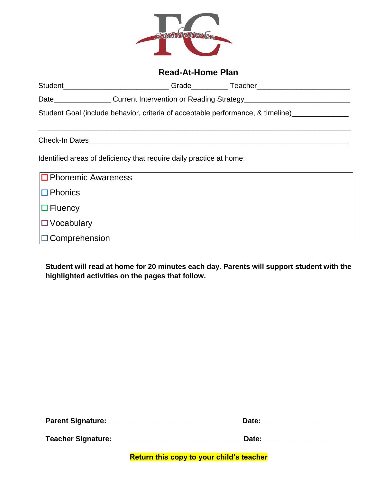

## **Read-At-Home Plan**

|                                                                     |                                                                                                                                                                        |  | Student __________________________Grade ___________Teacher______________________             |  |  |  |
|---------------------------------------------------------------------|------------------------------------------------------------------------------------------------------------------------------------------------------------------------|--|----------------------------------------------------------------------------------------------|--|--|--|
|                                                                     | Date <b>Date Date Date Date Date Date Date Date Date Date Date Date Date Date Date Date Date Date Date Date Date Date Date Date Date Date Date Date Date Date Date</b> |  |                                                                                              |  |  |  |
|                                                                     |                                                                                                                                                                        |  | Student Goal (include behavior, criteria of acceptable performance, & timeline) ____________ |  |  |  |
|                                                                     |                                                                                                                                                                        |  |                                                                                              |  |  |  |
| Check-In Dates                                                      |                                                                                                                                                                        |  |                                                                                              |  |  |  |
| Identified areas of deficiency that require daily practice at home: |                                                                                                                                                                        |  |                                                                                              |  |  |  |
| $\Box$ Phonemic Awareness                                           |                                                                                                                                                                        |  |                                                                                              |  |  |  |
| $\Box$ Phonics                                                      |                                                                                                                                                                        |  |                                                                                              |  |  |  |
| $\Box$ Fluency                                                      |                                                                                                                                                                        |  |                                                                                              |  |  |  |
| $\Box$ Vocabulary                                                   |                                                                                                                                                                        |  |                                                                                              |  |  |  |
| $\Box$ Comprehension                                                |                                                                                                                                                                        |  |                                                                                              |  |  |  |

**Student will read at home for 20 minutes each day. Parents will support student with the highlighted activities on the pages that follow.** 

| <b>Parent Signature:</b>  | Date: |
|---------------------------|-------|
| <b>Teacher Signature:</b> | Date: |

**Return this copy to your child's teacher**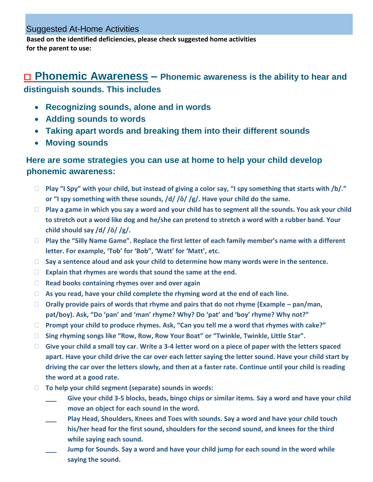#### Suggested At-Home Activities

**Based on the identified deficiencies, please check suggested home activities for the parent to use:** 

## □ Phonemic Awareness – Phonemic awareness is the ability to hear and **distinguish sounds. This includes**

- **Recognizing sounds, alone and in words**
- **Adding sounds to words**
- **Taking apart words and breaking them into their different sounds**
- **Moving sounds**

## **Here are some strategies you can use at home to help your child develop phonemic awareness:**

- **Play "I Spy" with your child, but instead of giving a color say, "I spy something that starts with /b/." or "I spy something with these sounds, /d/ /ŏ/ /g/. Have your child do the same.**
- **Play a game in which you say a word and your child has to segment all the sounds. You ask your child to stretch out a word like dog and he/she can pretend to stretch a word with a rubber band. Your child should say /d/ /ŏ/ /g/.**
- **Play the "Silly Name Game". Replace the first letter of each family member's name with a different letter. For example, 'Tob' for 'Bob", 'Watt' for 'Matt', etc.**
- **Say a sentence aloud and ask your child to determine how many words were in the sentence.**
- **Explain that rhymes are words that sound the same at the end.**
- **Read books containing rhymes over and over again**
- **As you read, have your child complete the rhyming word at the end of each line.**
- □ Orally provide pairs of words that rhyme and pairs that do not rhyme (Example pan/man, **pat/boy). Ask, "Do 'pan' and 'man' rhyme? Why? Do 'pat' and 'boy' rhyme? Why not?"**
- **Prompt your child to produce rhymes. Ask, "Can you tell me a word that rhymes with cake?"**
- **Sing rhyming songs like "Row, Row, Row Your Boat" or "Twinkle, Twinkle, Little Star".**
- **Give your child a small toy car. Write a 3-4 letter word on a piece of paper with the letters spaced apart. Have your child drive the car over each letter saying the letter sound. Have your child start by driving the car over the letters slowly, and then at a faster rate. Continue until your child is reading the word at a good rate.**
- **To help your child segment (separate) sounds in words:** 
	- Give your child 3-5 blocks, beads, bingo chips or similar items. Say a word and have your child **move an object for each sound in the word.**
	- Play Head, Shoulders, Knees and Toes with sounds. Say a word and have your child touch **his/her head for the first sound, shoulders for the second sound, and knees for the third while saying each sound.**
	- **\_\_\_ Jump for Sounds. Say a word and have your child jump for each sound in the word while saying the sound.**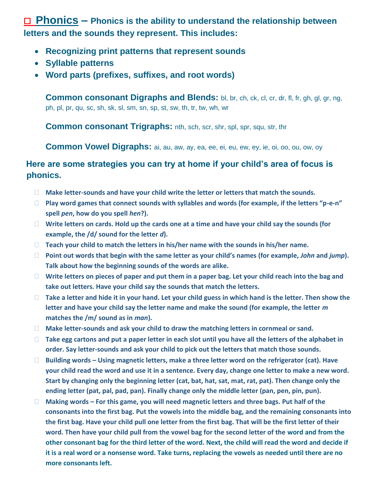**Phonics –** Phonics is the ability to understand the relationship between **letters and the sounds they represent. This includes:**

- **Recognizing print patterns that represent sounds**
- **Syllable patterns**
- **Word parts (prefixes, suffixes, and root words)**

**Common consonant Digraphs and Blends:** bl, br, ch, ck, cl, cr, dr, fl, fr, gh, gl, gr, ng, ph, pl, pr, qu, sc, sh, sk, sl, sm, sn, sp, st, sw, th, tr, tw, wh, wr

**Common consonant Trigraphs:** nth, sch, scr, shr, spl, spr, squ, str, thr

**Common Vowel Digraphs:** ai, au, aw, ay, ea, ee, ei, eu, ew, ey, ie, oi, oo, ou, ow, oy

## **Here are some strategies you can try at home if your child's area of focus is phonics.**

- **Make letter-sounds and have your child write the letter or letters that match the sounds.**
- **Play word games that connect sounds with syllables and words (for example, if the letters "p-e-n" spell** *pen***, how do you spell** *hen***?).**
- **Write letters on cards. Hold up the cards one at a time and have your child say the sounds (for example, the /d/ sound for the letter** *d***).**
- **Teach your child to match the letters in his/her name with the sounds in his/her name.**
- **Point out words that begin with the same letter as your child's names (for example,** *John* **and** *jump***). Talk about how the beginning sounds of the words are alike.**
- **Write letters on pieces of paper and put them in a paper bag. Let your child reach into the bag and take out letters. Have your child say the sounds that match the letters.**
- □ Take a letter and hide it in your hand. Let your child guess in which hand is the letter. Then show the **letter and have your child say the letter name and make the sound (for example, the letter** *m* **matches the /m/ sound as in** *man***).**
- **Make letter-sounds and ask your child to draw the matching letters in cornmeal or sand.**
- **Take egg cartons and put a paper letter in each slot until you have all the letters of the alphabet in order. Say letter-sounds and ask your child to pick out the letters that match those sounds.**
- **Building words – Using magnetic letters, make a three letter word on the refrigerator (cat). Have your child read the word and use it in a sentence. Every day, change one letter to make a new word. Start by changing only the beginning letter (cat, bat, hat, sat, mat, rat, pat). Then change only the ending letter (pat, pal, pad, pan). Finally change only the middle letter (pan, pen, pin, pun).**
- □ Making words For this game, you will need magnetic letters and three bags. Put half of the **consonants into the first bag. Put the vowels into the middle bag, and the remaining consonants into the first bag. Have your child pull one letter from the first bag. That will be the first letter of their word. Then have your child pull from the vowel bag for the second letter of the word and from the other consonant bag for the third letter of the word. Next, the child will read the word and decide if it is a real word or a nonsense word. Take turns, replacing the vowels as needed until there are no more consonants left.**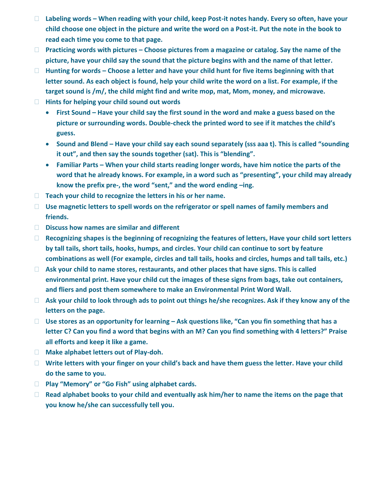- □ Labeling words When reading with your child, keep Post-it notes handy. Every so often, have your **child choose one object in the picture and write the word on a Post-it. Put the note in the book to read each time you come to that page.**
- **Practicing words with pictures – Choose pictures from a magazine or catalog. Say the name of the picture, have your child say the sound that the picture begins with and the name of that letter.**
- **Hunting for words – Choose a letter and have your child hunt for five items beginning with that letter sound. As each object is found, help your child write the word on a list. For example, if the target sound is /m/, the child might find and write mop, mat, Mom, money, and microwave.**
- **Hints for helping your child sound out words** 
	- **First Sound – Have your child say the first sound in the word and make a guess based on the picture or surrounding words. Double-check the printed word to see if it matches the child's guess.**
	- **Sound and Blend – Have your child say each sound separately (sss aaa t). This is called "sounding it out", and then say the sounds together (sat). This is "blending".**
	- **Familiar Parts – When your child starts reading longer words, have him notice the parts of the word that he already knows. For example, in a word such as "presenting", your child may already know the prefix pre-, the word "sent," and the word ending –ing.**
- **Teach your child to recognize the letters in his or her name.**
- **Use magnetic letters to spell words on the refrigerator or spell names of family members and friends.**
- **Discuss how names are similar and different**
- □ Recognizing shapes is the beginning of recognizing the features of letters, Have your child sort letters **by tall tails, short tails, hooks, humps, and circles. Your child can continue to sort by feature combinations as well (For example, circles and tall tails, hooks and circles, humps and tall tails, etc.)**
- **Ask your child to name stores, restaurants, and other places that have signs. This is called environmental print. Have your child cut the images of these signs from bags, take out containers, and fliers and post them somewhere to make an Environmental Print Word Wall.**
- □ Ask your child to look through ads to point out things he/she recognizes. Ask if they know any of the **letters on the page.**
- □ Use stores as an opportunity for learning Ask questions like, "Can you fin something that has a **letter C? Can you find a word that begins with an M? Can you find something with 4 letters?" Praise all efforts and keep it like a game.**
- **Make alphabet letters out of Play-doh.**
- **Write letters with your finger on your child's back and have them guess the letter. Have your child do the same to you.**
- **Play "Memory" or "Go Fish" using alphabet cards.**
- □ Read alphabet books to your child and eventually ask him/her to name the items on the page that **you know he/she can successfully tell you.**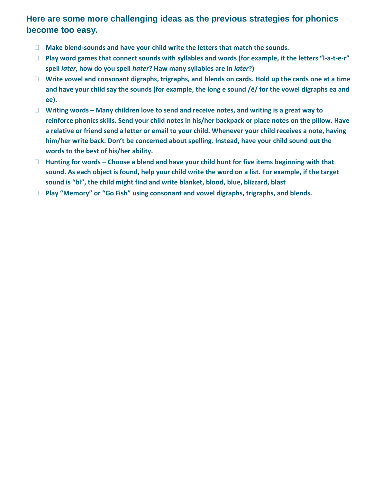## **Here are some more challenging ideas as the previous strategies for phonics become too easy.**

- **Make blend-sounds and have your child write the letters that match the sounds.**
- **Play word games that connect sounds with syllables and words (for example, it the letters "l-a-t-e-r" spell** *later***, how do you spell** *hater***? Haw many syllables are in** *later***?)**
- **Write vowel and consonant digraphs, trigraphs, and blends on cards. Hold up the cards one at a time and have your child say the sounds (for example, the long e sound /ē/ for the vowel digraphs ea and ee).**
- **Writing words – Many children love to send and receive notes, and writing is a great way to reinforce phonics skills. Send your child notes in his/her backpack or place notes on the pillow. Have a relative or friend send a letter or email to your child. Whenever your child receives a note, having him/her write back. Don't be concerned about spelling. Instead, have your child sound out the words to the best of his/her ability.**
- **Hunting for words – Choose a blend and have your child hunt for five items beginning with that sound. As each object is found, help your child write the word on a list. For example, if the target sound is "bl", the child might find and write blanket, blood, blue, blizzard, blast**
- **Play "Memory" or "Go Fish" using consonant and vowel digraphs, trigraphs, and blends.**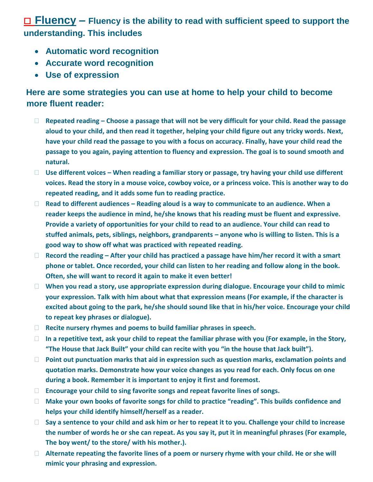## ☐ **Fluency – Fluency is the ability to read with sufficient speed to support the understanding. This includes**

- **Automatic word recognition**
- **Accurate word recognition**
- **Use of expression**

## **Here are some strategies you can use at home to help your child to become more fluent reader:**

- **Repeated reading – Choose a passage that will not be very difficult for your child. Read the passage aloud to your child, and then read it together, helping your child figure out any tricky words. Next, have your child read the passage to you with a focus on accuracy. Finally, have your child read the passage to you again, paying attention to fluency and expression. The goal is to sound smooth and natural.**
- **Use different voices – When reading a familiar story or passage, try having your child use different voices. Read the story in a mouse voice, cowboy voice, or a princess voice. This is another way to do repeated reading, and it adds some fun to reading practice.**
- **Read to different audiences – Reading aloud is a way to communicate to an audience. When a reader keeps the audience in mind, he/she knows that his reading must be fluent and expressive. Provide a variety of opportunities for your child to read to an audience. Your child can read to stuffed animals, pets, siblings, neighbors, grandparents – anyone who is willing to listen. This is a good way to show off what was practiced with repeated reading.**
- **Record the reading – After your child has practiced a passage have him/her record it with a smart phone or tablet. Once recorded, your child can listen to her reading and follow along in the book. Often, she will want to record it again to make it even better!**
- **When you read a story, use appropriate expression during dialogue. Encourage your child to mimic your expression. Talk with him about what that expression means (For example, if the character is excited about going to the park, he/she should sound like that in his/her voice. Encourage your child to repeat key phrases or dialogue).**
- **Recite nursery rhymes and poems to build familiar phrases in speech.**
- **In a repetitive text, ask your child to repeat the familiar phrase with you (For example, in the Story, "The House that Jack Built" your child can recite with you "in the house that Jack built").**
- **Point out punctuation marks that aid in expression such as question marks, exclamation points and quotation marks. Demonstrate how your voice changes as you read for each. Only focus on one during a book. Remember it is important to enjoy it first and foremost.**
- **Encourage your child to sing favorite songs and repeat favorite lines of songs.**
- **Make your own books of favorite songs for child to practice "reading". This builds confidence and helps your child identify himself/herself as a reader.**
- **Say a sentence to your child and ask him or her to repeat it to you. Challenge your child to increase the number of words he or she can repeat. As you say it, put it in meaningful phrases (For example, The boy went/ to the store/ with his mother.).**
- **Alternate repeating the favorite lines of a poem or nursery rhyme with your child. He or she will mimic your phrasing and expression.**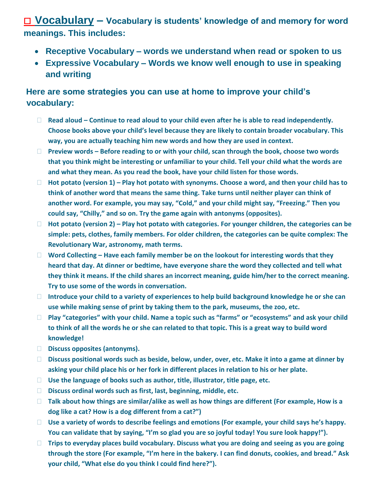☐ **Vocabulary – Vocabulary is students' knowledge of and memory for word meanings. This includes:**

- **Receptive Vocabulary words we understand when read or spoken to us**
- **Expressive Vocabulary Words we know well enough to use in speaking and writing**

## **Here are some strategies you can use at home to improve your child's vocabulary:**

- **Read aloud – Continue to read aloud to your child even after he is able to read independently. Choose books above your child's level because they are likely to contain broader vocabulary. This way, you are actually teaching him new words and how they are used in context.**
- **Preview words – Before reading to or with your child, scan through the book, choose two words that you think might be interesting or unfamiliar to your child. Tell your child what the words are and what they mean. As you read the book, have your child listen for those words.**
- **Hot potato (version 1) – Play hot potato with synonyms. Choose a word, and then your child has to think of another word that means the same thing. Take turns until neither player can think of another word. For example, you may say, "Cold," and your child might say, "Freezing." Then you could say, "Chilly," and so on. Try the game again with antonyms (opposites).**
- **Hot potato (version 2) – Play hot potato with categories. For younger children, the categories can be simple: pets, clothes, family members. For older children, the categories can be quite complex: The Revolutionary War, astronomy, math terms.**
- **Word Collecting – Have each family member be on the lookout for interesting words that they heard that day. At dinner or bedtime, have everyone share the word they collected and tell what they think it means. If the child shares an incorrect meaning, guide him/her to the correct meaning. Try to use some of the words in conversation.**
- **Introduce your child to a variety of experiences to help build background knowledge he or she can use while making sense of print by taking them to the park, museums, the zoo, etc.**
- **Play "categories" with your child. Name a topic such as "farms" or "ecosystems" and ask your child to think of all the words he or she can related to that topic. This is a great way to build word knowledge!**
- **Discuss opposites (antonyms).**
- **Discuss positional words such as beside, below, under, over, etc. Make it into a game at dinner by asking your child place his or her fork in different places in relation to his or her plate.**
- **Use the language of books such as author, title, illustrator, title page, etc.**
- **Discuss ordinal words such as first, last, beginning, middle, etc.**
- □ Talk about how things are similar/alike as well as how things are different (For example, How is a **dog like a cat? How is a dog different from a cat?")**
- **Use a variety of words to describe feelings and emotions (For example, your child says he's happy. You can validate that by saying, "I'm so glad you are so joyful today! You sure look happy!").**
- **Trips to everyday places build vocabulary. Discuss what you are doing and seeing as you are going through the store (For example, "I'm here in the bakery. I can find donuts, cookies, and bread." Ask your child, "What else do you think I could find here?").**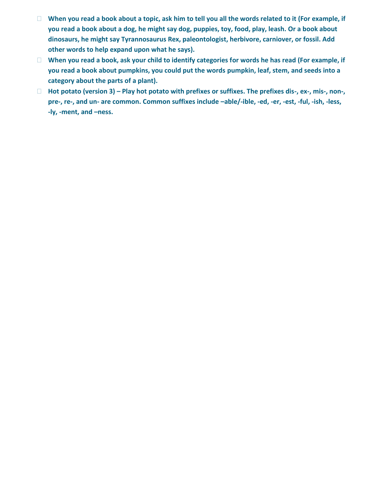- □ When you read a book about a topic, ask him to tell you all the words related to it (For example, if **you read a book about a dog, he might say dog, puppies, toy, food, play, leash. Or a book about dinosaurs, he might say Tyrannosaurus Rex, paleontologist, herbivore, carniover, or fossil. Add other words to help expand upon what he says).**
- **When you read a book, ask your child to identify categories for words he has read (For example, if you read a book about pumpkins, you could put the words pumpkin, leaf, stem, and seeds into a category about the parts of a plant).**
- □ Hot potato (version 3) Play hot potato with prefixes or suffixes. The prefixes dis-, ex-, mis-, non-, **pre-, re-, and un- are common. Common suffixes include –able/-ible, -ed, -er, -est, -ful, -ish, -less, -ly, -ment, and –ness.**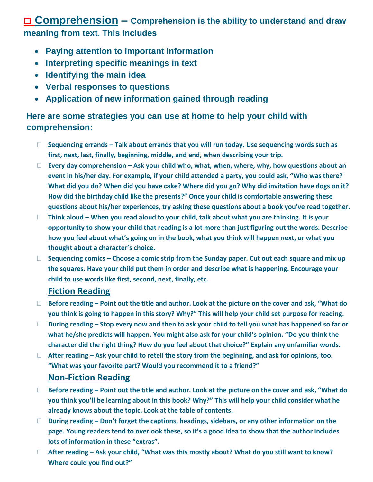## ☐ **Comprehension – Comprehension is the ability to understand and draw meaning from text. This includes**

- **Paying attention to important information**
- **Interpreting specific meanings in text**
- **Identifying the main idea**
- **Verbal responses to questions**
- **Application of new information gained through reading**

## **Here are some strategies you can use at home to help your child with comprehension:**

- **Sequencing errands – Talk about errands that you will run today. Use sequencing words such as first, next, last, finally, beginning, middle, and end, when describing your trip.**
- **Every day comprehension – Ask your child who, what, when, where, why, how questions about an event in his/her day. For example, if your child attended a party, you could ask, "Who was there? What did you do? When did you have cake? Where did you go? Why did invitation have dogs on it? How did the birthday child like the presents?" Once your child is comfortable answering these questions about his/her experiences, try asking these questions about a book you've read together.**
- □ Think aloud When you read aloud to your child, talk about what you are thinking. It is your **opportunity to show your child that reading is a lot more than just figuring out the words. Describe how you feel about what's going on in the book, what you think will happen next, or what you thought about a character's choice.**
- **Sequencing comics – Choose a comic strip from the Sunday paper. Cut out each square and mix up the squares. Have your child put them in order and describe what is happening. Encourage your child to use words like first, second, next, finally, etc.**

## **Fiction Reading**

- **Before reading – Point out the title and author. Look at the picture on the cover and ask, "What do you think is going to happen in this story? Why?" This will help your child set purpose for reading.**
- **During reading – Stop every now and then to ask your child to tell you what has happened so far or what he/she predicts will happen. You might also ask for your child's opinion. "Do you think the character did the right thing? How do you feel about that choice?" Explain any unfamiliar words.**
- **After reading – Ask your child to retell the story from the beginning, and ask for opinions, too. "What was your favorite part? Would you recommend it to a friend?"**

## **Non-Fiction Reading**

- **Before reading – Point out the title and author. Look at the picture on the cover and ask, "What do you think you'll be learning about in this book? Why?" This will help your child consider what he already knows about the topic. Look at the table of contents.**
- **During reading – Don't forget the captions, headings, sidebars, or any other information on the page. Young readers tend to overlook these, so it's a good idea to show that the author includes lots of information in these "extras".**
- **After reading – Ask your child, "What was this mostly about? What do you still want to know? Where could you find out?"**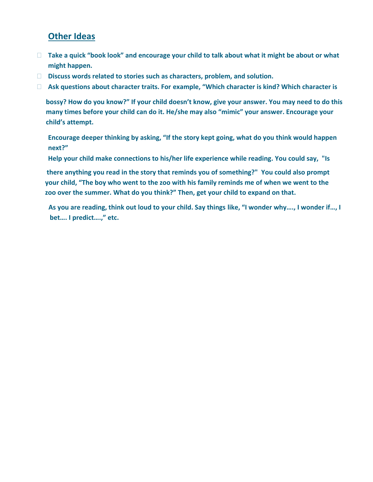## **Other Ideas**

- □ Take a quick "book look" and encourage your child to talk about what it might be about or what **might happen.**
- **Discuss words related to stories such as characters, problem, and solution.**
- □ Ask questions about character traits. For example, "Which character is kind? Which character is

**bossy? How do you know?" If your child doesn't know, give your answer. You may need to do this many times before your child can do it. He/she may also "mimic" your answer. Encourage your child's attempt.**

**Encourage deeper thinking by asking, "If the story kept going, what do you think would happen next?"**

**Help your child make connections to his/her life experience while reading. You could say, "Is**

 **there anything you read in the story that reminds you of something?" You could also prompt your child, "The boy who went to the zoo with his family reminds me of when we went to the zoo over the summer. What do you think?" Then, get your child to expand on that.**

**As you are reading, think out loud to your child. Say things like, "I wonder why…., I wonder if…, I bet…. I predict….," etc.**